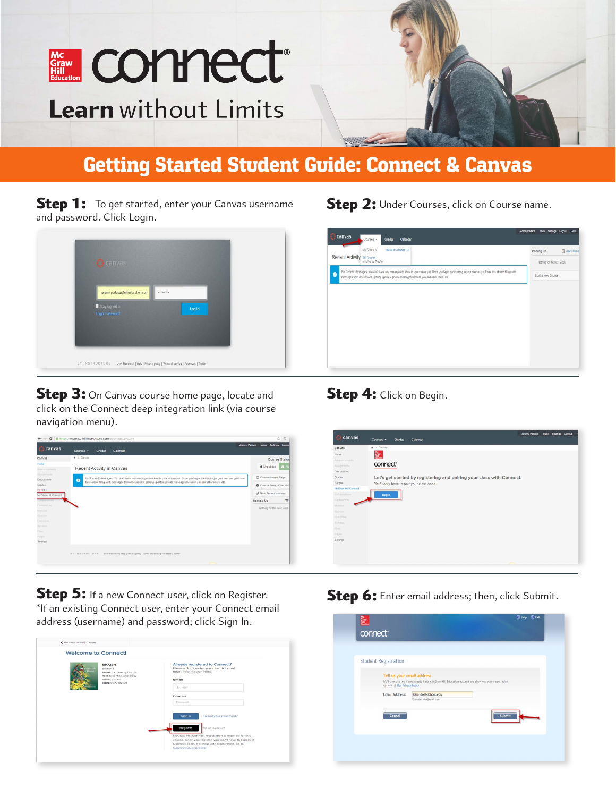

# Getting Started Student Guide: Connect & Canvas

**Step 1:** To get started, enter your Canvas username and password. Click Login.



**Step 3:** On Canvas course home page, locate and click on the Connect deep integration link (via course navigation menu).

### **Step 2:** Under Courses, click on Course name.

# canvas Coming Up 图We Recent Activity TCCo .<br>ESSages You don't have any messages to show in your stream yet. Once you begin participating in your cou<br>n discussions, grading updates, private messages between you and other users, etc.  $\bullet$ Start a New Course

#### Step 4: Click on Begin.



Step 5: If a new Connect user, click on Register. \*If an existing Connect user, enter your Connect email address (username) and password; click Sign In.

| <b>Welcome to Connect!</b>                                                                                                    |                                                                                                                                                                                                                                                                             |  |
|-------------------------------------------------------------------------------------------------------------------------------|-----------------------------------------------------------------------------------------------------------------------------------------------------------------------------------------------------------------------------------------------------------------------------|--|
| <b>BIO234</b><br>Section 1<br>Instructor: Jeremy Lincoln<br>Text: Essentials of Biology<br>Møder, 3rd ed.<br>ISBN: 0077402189 | Already registered to Connect?<br>Please don't enter your institutional<br>login information here.<br>Email<br>E mail<br>Password<br>Password                                                                                                                               |  |
|                                                                                                                               | Forgot your password?<br>Sign in<br><b>Register</b><br>Not yet registered?<br>McGraw-Hill Connect registration is required for this<br>course. Once you register, you won't have to sign in to<br>Connect again. For help with registration, go to<br>Connect Student Help. |  |

Step 6: Enter email address; then, click Submit.

| Tell us your email address<br>We'll check to see if you already have a NcGraw-Hill Education account and show you your registration<br>options. @ Our Privacy Policy<br>john_doe@school.edu<br>Example: jdoe@email.com<br>Submit |
|----------------------------------------------------------------------------------------------------------------------------------------------------------------------------------------------------------------------------------|
| Email Address:                                                                                                                                                                                                                   |